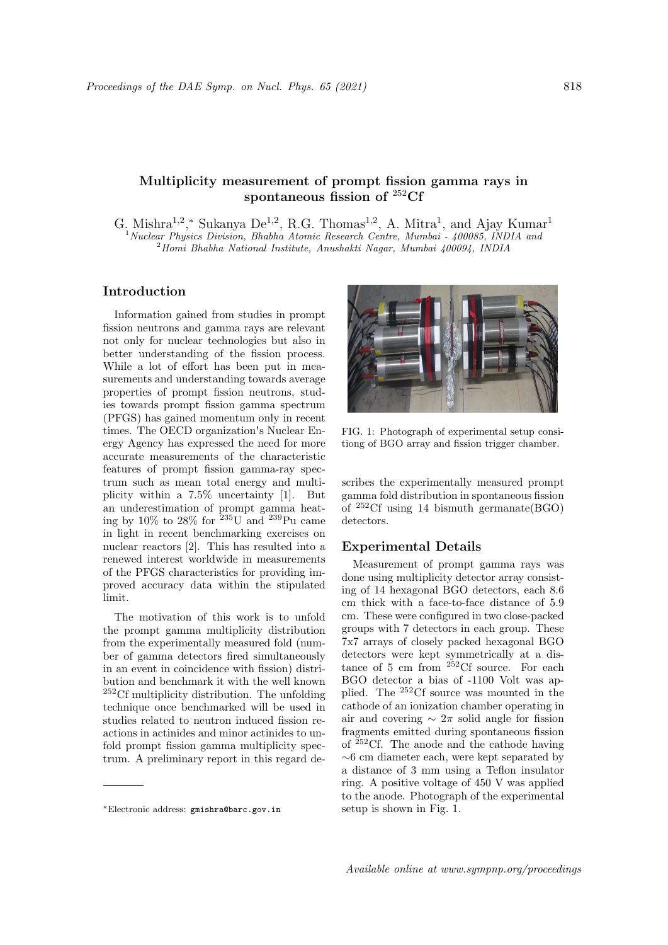# Multiplicity measurement of prompt fission gamma rays in spontaneous fission of <sup>252</sup>Cf

G. Mishra<sup>1,2</sup>,<sup>\*</sup> Sukanya De<sup>1,2</sup>, R.G. Thomas<sup>1,2</sup>, A. Mitra<sup>1</sup>, and Ajay Kumar<sup>1</sup> <sup>1</sup> Nuclear Physics Division, Bhabha Atomic Research Centre, Mumbai - 400085, INDIA and <sup>2</sup>Homi Bhabha National Institute, Anushakti Nagar, Mumbai 400094, INDIA

### Introduction

Information gained from studies in prompt fission neutrons and gamma rays are relevant not only for nuclear technologies but also in better understanding of the fission process. While a lot of effort has been put in measurements and understanding towards average properties of prompt fission neutrons, studies towards prompt fission gamma spectrum (PFGS) has gained momentum only in recent times. The OECD organization's Nuclear Energy Agency has expressed the need for more accurate measurements of the characteristic features of prompt fission gamma-ray spectrum such as mean total energy and multiplicity within a 7.5% uncertainty [1]. But an underestimation of prompt gamma heating by 10% to 28% for  $235\,\mathrm{U}$  and  $239\,\mathrm{Pu}$  came in light in recent benchmarking exercises on nuclear reactors [2]. This has resulted into a renewed interest worldwide in measurements of the PFGS characteristics for providing improved accuracy data within the stipulated limit.

The motivation of this work is to unfold the prompt gamma multiplicity distribution from the experimentally measured fold (number of gamma detectors fired simultaneously in an event in coincidence with fission) distribution and benchmark it with the well known <sup>252</sup>Cf multiplicity distribution. The unfolding technique once benchmarked will be used in studies related to neutron induced fission reactions in actinides and minor actinides to unfold prompt fission gamma multiplicity spectrum. A preliminary report in this regard de-



FIG. 1: Photograph of experimental setup consitiong of BGO array and fission trigger chamber.

scribes the experimentally measured prompt gamma fold distribution in spontaneous fission of <sup>252</sup>Cf using 14 bismuth germanate(BGO) detectors.

#### Experimental Details

Measurement of prompt gamma rays was done using multiplicity detector array consisting of 14 hexagonal BGO detectors, each 8.6 cm thick with a face-to-face distance of 5.9 cm. These were configured in two close-packed groups with 7 detectors in each group. These 7x7 arrays of closely packed hexagonal BGO detectors were kept symmetrically at a distance of 5 cm from <sup>252</sup>Cf source. For each BGO detector a bias of -1100 Volt was applied. The <sup>252</sup>Cf source was mounted in the cathode of an ionization chamber operating in air and covering  $\sim 2\pi$  solid angle for fission fragments emitted during spontaneous fission of  $252 \text{C}$ . The anode and the cathode having ∼6 cm diameter each, were kept separated by a distance of 3 mm using a Teflon insulator ring. A positive voltage of 450 V was applied to the anode. Photograph of the experimental setup is shown in Fig. 1.

<sup>∗</sup>Electronic address: gmishra@barc.gov.in